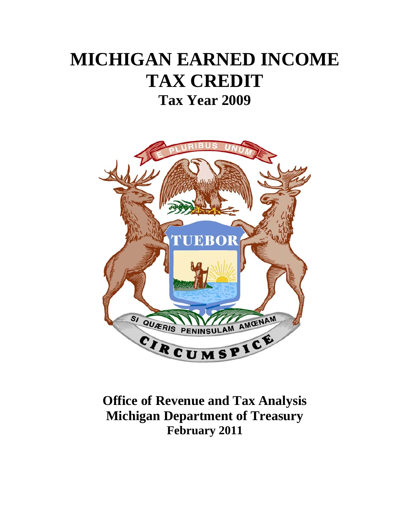# **MICHIGAN EARNED INCOME TAX CREDIT Tax Year 2009**



## **Office of Revenue and Tax Analysis Michigan Department of Treasury February 2011**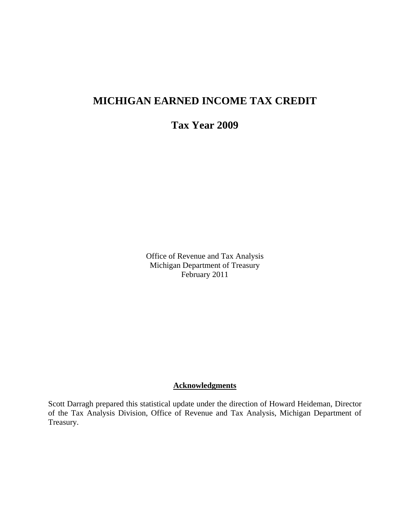### **MICHIGAN EARNED INCOME TAX CREDIT**

**Tax Year 2009** 

Office of Revenue and Tax Analysis Michigan Department of Treasury February 2011

#### **Acknowledgments**

Scott Darragh prepared this statistical update under the direction of Howard Heideman, Director of the Tax Analysis Division, Office of Revenue and Tax Analysis, Michigan Department of Treasury.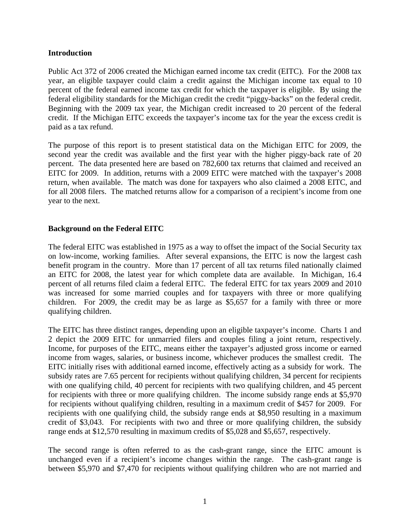#### **Introduction**

Public Act 372 of 2006 created the Michigan earned income tax credit (EITC). For the 2008 tax year, an eligible taxpayer could claim a credit against the Michigan income tax equal to 10 percent of the federal earned income tax credit for which the taxpayer is eligible. By using the federal eligibility standards for the Michigan credit the credit "piggy-backs" on the federal credit. Beginning with the 2009 tax year, the Michigan credit increased to 20 percent of the federal credit. If the Michigan EITC exceeds the taxpayer's income tax for the year the excess credit is paid as a tax refund.

The purpose of this report is to present statistical data on the Michigan EITC for 2009, the second year the credit was available and the first year with the higher piggy-back rate of 20 percent. The data presented here are based on 782,600 tax returns that claimed and received an EITC for 2009. In addition, returns with a 2009 EITC were matched with the taxpayer's 2008 return, when available. The match was done for taxpayers who also claimed a 2008 EITC, and for all 2008 filers. The matched returns allow for a comparison of a recipient's income from one year to the next.

#### **Background on the Federal EITC**

The federal EITC was established in 1975 as a way to offset the impact of the Social Security tax on low-income, working families. After several expansions, the EITC is now the largest cash benefit program in the country. More than 17 percent of all tax returns filed nationally claimed an EITC for 2008, the latest year for which complete data are available. In Michigan, 16.4 percent of all returns filed claim a federal EITC. The federal EITC for tax years 2009 and 2010 was increased for some married couples and for taxpayers with three or more qualifying children. For 2009, the credit may be as large as \$5,657 for a family with three or more qualifying children.

The EITC has three distinct ranges, depending upon an eligible taxpayer's income. Charts 1 and 2 depict the 2009 EITC for unmarried filers and couples filing a joint return, respectively. Income, for purposes of the EITC, means either the taxpayer's adjusted gross income or earned income from wages, salaries, or business income, whichever produces the smallest credit. The EITC initially rises with additional earned income, effectively acting as a subsidy for work. The subsidy rates are 7.65 percent for recipients without qualifying children, 34 percent for recipients with one qualifying child, 40 percent for recipients with two qualifying children, and 45 percent for recipients with three or more qualifying children. The income subsidy range ends at \$5,970 for recipients without qualifying children, resulting in a maximum credit of \$457 for 2009. For recipients with one qualifying child, the subsidy range ends at \$8,950 resulting in a maximum credit of \$3,043. For recipients with two and three or more qualifying children, the subsidy range ends at \$12,570 resulting in maximum credits of \$5,028 and \$5,657, respectively.

The second range is often referred to as the cash-grant range, since the EITC amount is unchanged even if a recipient's income changes within the range. The cash-grant range is between \$5,970 and \$7,470 for recipients without qualifying children who are not married and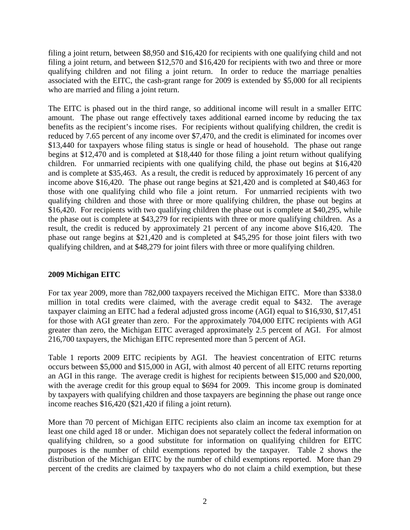filing a joint return, between \$8,950 and \$16,420 for recipients with one qualifying child and not filing a joint return, and between \$12,570 and \$16,420 for recipients with two and three or more qualifying children and not filing a joint return. In order to reduce the marriage penalties associated with the EITC, the cash-grant range for 2009 is extended by \$5,000 for all recipients who are married and filing a joint return.

The EITC is phased out in the third range, so additional income will result in a smaller EITC amount. The phase out range effectively taxes additional earned income by reducing the tax benefits as the recipient's income rises. For recipients without qualifying children, the credit is reduced by 7.65 percent of any income over \$7,470, and the credit is eliminated for incomes over \$13,440 for taxpayers whose filing status is single or head of household. The phase out range begins at \$12,470 and is completed at \$18,440 for those filing a joint return without qualifying children. For unmarried recipients with one qualifying child, the phase out begins at \$16,420 and is complete at \$35,463. As a result, the credit is reduced by approximately 16 percent of any income above \$16,420. The phase out range begins at \$21,420 and is completed at \$40,463 for those with one qualifying child who file a joint return. For unmarried recipients with two qualifying children and those with three or more qualifying children, the phase out begins at \$16,420. For recipients with two qualifying children the phase out is complete at \$40,295, while the phase out is complete at \$43,279 for recipients with three or more qualifying children. As a result, the credit is reduced by approximately 21 percent of any income above \$16,420. The phase out range begins at \$21,420 and is completed at \$45,295 for those joint filers with two qualifying children, and at \$48,279 for joint filers with three or more qualifying children.

#### **2009 Michigan EITC**

For tax year 2009, more than 782,000 taxpayers received the Michigan EITC. More than \$338.0 million in total credits were claimed, with the average credit equal to \$432. The average taxpayer claiming an EITC had a federal adjusted gross income (AGI) equal to \$16,930, \$17,451 for those with AGI greater than zero. For the approximately 704,000 EITC recipients with AGI greater than zero, the Michigan EITC averaged approximately 2.5 percent of AGI. For almost 216,700 taxpayers, the Michigan EITC represented more than 5 percent of AGI.

Table 1 reports 2009 EITC recipients by AGI. The heaviest concentration of EITC returns occurs between \$5,000 and \$15,000 in AGI, with almost 40 percent of all EITC returns reporting an AGI in this range. The average credit is highest for recipients between \$15,000 and \$20,000, with the average credit for this group equal to \$694 for 2009. This income group is dominated by taxpayers with qualifying children and those taxpayers are beginning the phase out range once income reaches \$16,420 (\$21,420 if filing a joint return).

More than 70 percent of Michigan EITC recipients also claim an income tax exemption for at least one child aged 18 or under. Michigan does not separately collect the federal information on qualifying children, so a good substitute for information on qualifying children for EITC purposes is the number of child exemptions reported by the taxpayer. Table 2 shows the distribution of the Michigan EITC by the number of child exemptions reported. More than 29 percent of the credits are claimed by taxpayers who do not claim a child exemption, but these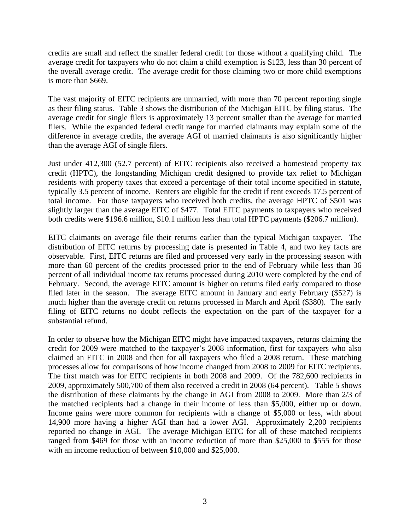credits are small and reflect the smaller federal credit for those without a qualifying child. The average credit for taxpayers who do not claim a child exemption is \$123, less than 30 percent of the overall average credit. The average credit for those claiming two or more child exemptions is more than \$669.

The vast majority of EITC recipients are unmarried, with more than 70 percent reporting single as their filing status. Table 3 shows the distribution of the Michigan EITC by filing status. The average credit for single filers is approximately 13 percent smaller than the average for married filers. While the expanded federal credit range for married claimants may explain some of the difference in average credits, the average AGI of married claimants is also significantly higher than the average AGI of single filers.

Just under 412,300 (52.7 percent) of EITC recipients also received a homestead property tax credit (HPTC), the longstanding Michigan credit designed to provide tax relief to Michigan residents with property taxes that exceed a percentage of their total income specified in statute, typically 3.5 percent of income. Renters are eligible for the credit if rent exceeds 17.5 percent of total income. For those taxpayers who received both credits, the average HPTC of \$501 was slightly larger than the average EITC of \$477. Total EITC payments to taxpayers who received both credits were \$196.6 million, \$10.1 million less than total HPTC payments (\$206.7 million).

EITC claimants on average file their returns earlier than the typical Michigan taxpayer. The distribution of EITC returns by processing date is presented in Table 4, and two key facts are observable. First, EITC returns are filed and processed very early in the processing season with more than 60 percent of the credits processed prior to the end of February while less than 36 percent of all individual income tax returns processed during 2010 were completed by the end of February. Second, the average EITC amount is higher on returns filed early compared to those filed later in the season. The average EITC amount in January and early February (\$527) is much higher than the average credit on returns processed in March and April (\$380). The early filing of EITC returns no doubt reflects the expectation on the part of the taxpayer for a substantial refund.

In order to observe how the Michigan EITC might have impacted taxpayers, returns claiming the credit for 2009 were matched to the taxpayer's 2008 information, first for taxpayers who also claimed an EITC in 2008 and then for all taxpayers who filed a 2008 return. These matching processes allow for comparisons of how income changed from 2008 to 2009 for EITC recipients. The first match was for EITC recipients in both 2008 and 2009. Of the 782,600 recipients in 2009, approximately 500,700 of them also received a credit in 2008 (64 percent). Table 5 shows the distribution of these claimants by the change in AGI from 2008 to 2009. More than 2/3 of the matched recipients had a change in their income of less than \$5,000, either up or down. Income gains were more common for recipients with a change of \$5,000 or less, with about 14,900 more having a higher AGI than had a lower AGI. Approximately 2,200 recipients reported no change in AGI. The average Michigan EITC for all of these matched recipients ranged from \$469 for those with an income reduction of more than \$25,000 to \$555 for those with an income reduction of between \$10,000 and \$25,000.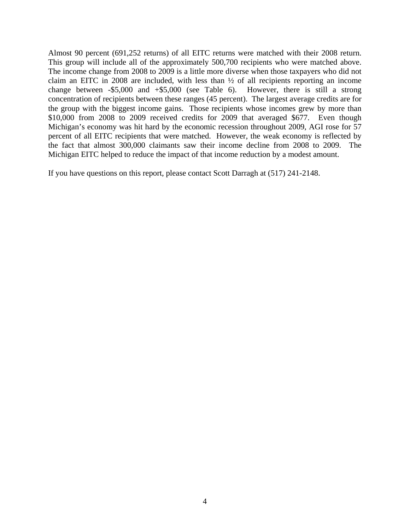Almost 90 percent (691,252 returns) of all EITC returns were matched with their 2008 return. This group will include all of the approximately 500,700 recipients who were matched above. The income change from 2008 to 2009 is a little more diverse when those taxpayers who did not claim an EITC in 2008 are included, with less than ½ of all recipients reporting an income change between -\$5,000 and +\$5,000 (see Table 6). However, there is still a strong concentration of recipients between these ranges (45 percent). The largest average credits are for the group with the biggest income gains. Those recipients whose incomes grew by more than \$10,000 from 2008 to 2009 received credits for 2009 that averaged \$677. Even though Michigan's economy was hit hard by the economic recession throughout 2009, AGI rose for 57 percent of all EITC recipients that were matched. However, the weak economy is reflected by the fact that almost 300,000 claimants saw their income decline from 2008 to 2009. The Michigan EITC helped to reduce the impact of that income reduction by a modest amount.

If you have questions on this report, please contact Scott Darragh at (517) 241-2148.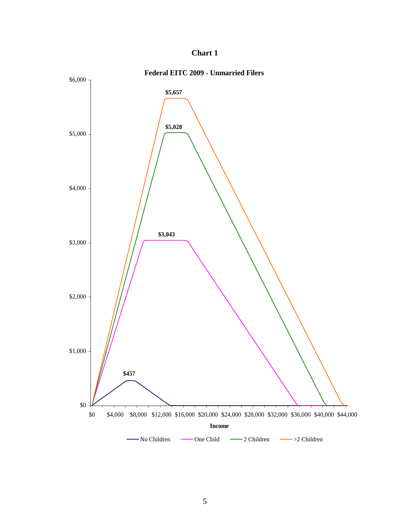

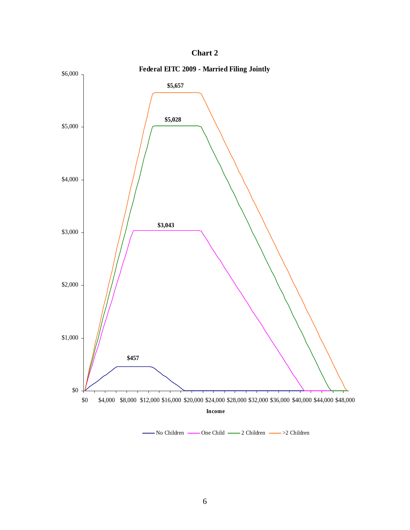



- No Children - One Child - 2 Children - >2 Children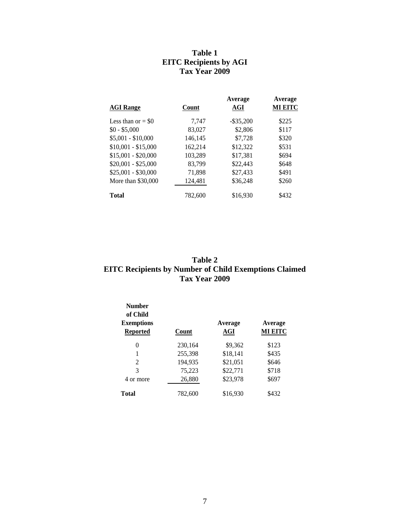#### **Table 1 EITC Recipients by AGI Tax Year 2009**

| <b>AGI Range</b>    | Count   | Average<br>AGI | Average<br><b>MI EITC</b> |
|---------------------|---------|----------------|---------------------------|
| Less than or $= $0$ | 7,747   | $-$ \$35,200   | \$225                     |
| $$0 - $5,000$       | 83,027  | \$2,806        | \$117                     |
| $$5,001 - $10,000$  | 146,145 | \$7,728        | \$320                     |
| $$10,001 - $15,000$ | 162.214 | \$12,322       | \$531                     |
| $$15,001 - $20,000$ | 103,289 | \$17,381       | \$694                     |
| $$20,001 - $25,000$ | 83,799  | \$22,443       | \$648                     |
| $$25,001 - $30,000$ | 71,898  | \$27,433       | \$491                     |
| More than \$30,000  | 124,481 | \$36,248       | \$260                     |
| <b>Total</b>        | 782,600 | \$16.930       | \$432                     |

#### **Table 2 EITC Recipients by Number of Child Exemptions Claimed Tax Year 2009**

| <b>Number</b><br>of Child<br><b>Exemptions</b><br><b>Reported</b> | Count   | Average<br>AGI | Average<br><b>MI EITC</b> |
|-------------------------------------------------------------------|---------|----------------|---------------------------|
| 0                                                                 | 230,164 | \$9,362        | \$123                     |
| 1                                                                 | 255,398 | \$18,141       | \$435                     |
| $\mathfrak{D}$                                                    | 194,935 | \$21,051       | \$646                     |
| 3                                                                 | 75,223  | \$22,771       | \$718                     |
| 4 or more                                                         | 26,880  | \$23,978       | \$697                     |
| <b>Total</b>                                                      | 782,600 | \$16.930       | \$432                     |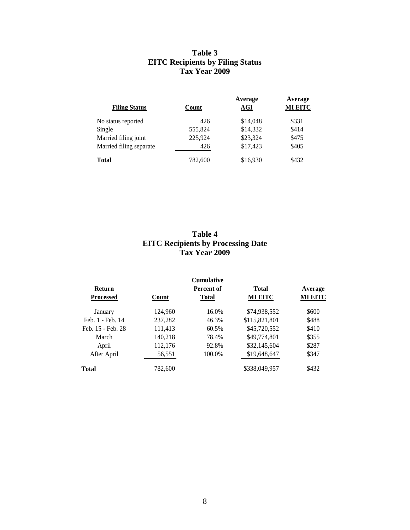#### **Table 3 EITC Recipients by Filing Status Tax Year 2009**

| <b>Filing Status</b>    | <b>Count</b> | Average<br>AGI | Average<br><b>MI EITC</b> |
|-------------------------|--------------|----------------|---------------------------|
| No status reported      | 426          | \$14,048       | \$331                     |
| Single                  | 555,824      | \$14,332       | \$414                     |
| Married filing joint    | 225,924      | \$23,324       | \$475                     |
| Married filing separate | 426          | \$17,423       | \$405                     |
| <b>Total</b>            | 782,600      | \$16,930       | \$432                     |

#### **Table 4 EITC Recipients by Processing Date Tax Year 2009**

| Return<br><b>Processed</b> | Count   | <b>Cumulative</b><br>Percent of<br><b>Total</b> | <b>Total</b><br><b>MI EITC</b> | Average<br><b>MI EITC</b> |
|----------------------------|---------|-------------------------------------------------|--------------------------------|---------------------------|
| January                    | 124,960 | 16.0%                                           | \$74,938,552                   | \$600                     |
| Feb. 1 - Feb. 14           | 237,282 | 46.3%                                           | \$115,821,801                  | \$488                     |
| Feb. 15 - Feb. 28          | 111,413 | $60.5\%$                                        | \$45,720,552                   | \$410                     |
| March                      | 140,218 | 78.4%                                           | \$49,774,801                   | \$355                     |
| April                      | 112,176 | 92.8%                                           | \$32,145,604                   | \$287                     |
| After April                | 56,551  | 100.0%                                          | \$19,648,647                   | \$347                     |
| Total                      | 782,600 |                                                 | \$338,049,957                  | \$432                     |